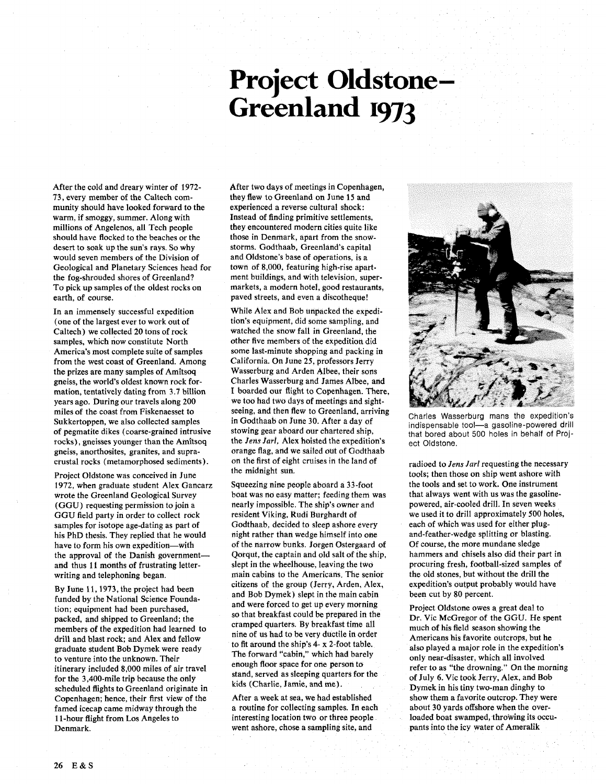## **Project Oldstone-<br>Greenland 1973**

After the cold and dreary winter of 1972- 73, every member of the Caltech community should have looked forward to the warm, if smoggy, summer. Along with millions of Angelenos, all Tech people should have flocked to the beaches or the desert to soak up the sun's rays. So why would seven members of the Division of Geological and Planetary Sciences head for the fog-shrouded shores of Greenland? To pick up samples of the oldest rocks on earth, of course.

In an immensely successful expedition (one of the largest ever to work out of Caltech) we collected 20 tons of rock samples, which now constitute North America's most complete suite of samples from the west coast of Greenland. Among the prizes are many samples of Amitsoq gneiss, the world's oldest known rock formation, tentatively dating from 3.7 billion years ago. During our travels along 200 miles of the coast from Fiskenaesset to Sukkertoppen, we also collected samples of pegmatite dikes (coarse-grained intrusive rocks), gneisses younger than the Amitsoq gneiss, anorthosites, granites, and supracrustal rocks (metamorphosed sediments).

Project Oldstone was conceived in June 1972, when graduate student Alex Gancarz wrote the Greenland Geological Survey (GGU) requesting permission to join a GGU field party in order to collect rock samples for isotope age-dating as part of his PhD thesis. They replied that he would have to form his own expedition-with the approval of the Danish governmentand thus 11 months of frustrating letterwriting and telephoning began.

By June 11,1973, the project had been funded by the National Science Foundation; equipment had been purchased, packed, and shipped to Greenland; the members of the expedition had learned to drill and blast rock; and Alex and fellow graduate student Bob Dymek were ready to venture into the unknown. Their itinerary included 8,000 miles of air travel for the 3,400-mile trip because the only scheduled flights to Greenland originate in Copenhagen; hence, their first view of the famed icecap came midway through the 1 1-hour flight from Los Angeles to Denmark.

After two days of meetings in Copenhagen, they flew to Greenland on June 15 and experienced a reverse cultural shock: Instead of finding primitive settlements, they encountered modern cities quite like those in Denmark, apart from the snowstorms. Godthaab, Greenland's capital and Oldstone's base of operations, is a town of 8,000, featuring high-rise apartment buildings, and with television, supermarkets, a modern hotel, good restaurants, paved streets, and even a discotheque!

While Alex and Bob unpacked the expedition's equipment, did some sampling, and watched the snow fall in Greenland, the other five members of the expedition did some last-minute shopping and packing in California. On June 25, professors Jerry Wasserburg and Arden Albee, their sons Charles Wasserburg and James Albee, and I boarded our flight to Copenhagen. There, we too had two days of meetings and sightseeing, and then flew to Greenland, arriving in Godthaab on June 30. After a day of stowing gear aboard our chartered ship, the *Jens Jarl,* Alex hoisted the expedition's orange flag, and we sailed out of Godthaab on the first of eight cruises in the land of the midnight sun.

Squeezing nine people aboard a 33-foot boat was no easy matter; feeding them was nearly impossible. The ship's owner and resident Viking, Rudi Burghardt of Godthaab, decided to sleep ashore every night rather than wedge himself into one of the narrow bunks. Jorgen Ostergaard of Qorqut, the captain and old salt of the ship, slept in the wheelhouse, leaving the two main cabins to the Americans. The senior citizens of the group (Jerry, Arden, Alex, and Bob Dymek) slept in the main cabin and were forced to get up every morning so that breakfast could be prepared in the cramped quarters. By breakfast time all nine of us had to be very ductile in order to fit around the ship's 4- x 2-foot table. The forward "cabin," which had barely enough floor space for one person to stand, served as sleeping quarters for the kids (Charlie. Jamie, and me).

After a week at sea, we had established a routine for collecting samples. In each interesting location two or three people went ashore, chose a sampling site, and



Charles Wasserburg mans the expedition's indispensable tool-a gasoline-powered drill that bored about 500 holes in behalf of Project Oldstone.

radioed to *Jens Jarl* requesting the necessary tools; then those on ship went ashore with the tools and set to work. One instrument that always went with us was the gasolinepowered, air-cooled drill. In seven weeks we used it to drill approximately 500 holes, each of which was used for either plugand-feather-wedge splitting or blasting. Of course, the more mundane sledge hammers and chisels also did their part in procuring fresh, football-sized samples of the old stones, but without the drill the expedition's output probably would have been cut by 80 percent.

Project Oldstone owes a great deal to Dr. Vic McGregor of the GGU. He spent much of his field season showing the Americans his favorite outcrops, but he also played a major role in the expedition's only near-disaster, which all involved refer to as "the drowning." On the morning of July 6. Vic took Jerry, Alex, and Bob Dymek in his tiny two-man dinghy to show them a favorite outcrop. They were about 30 yards offshore when the overloaded boat swamped, throwing its occupants into the icy water of Ameralik